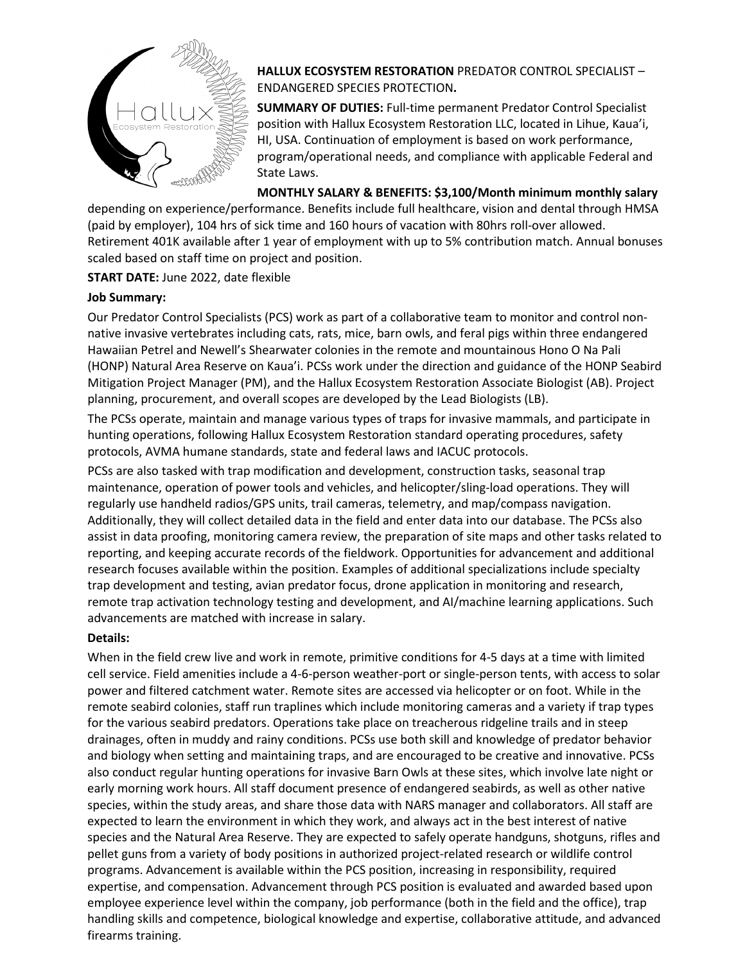

**HALLUX ECOSYSTEM RESTORATION** PREDATOR CONTROL SPECIALIST – ENDANGERED SPECIES PROTECTION**.**

**SUMMARY OF DUTIES:** Full-time permanent Predator Control Specialist position with Hallux Ecosystem Restoration LLC, located in Lihue, Kaua'i, HI, USA. Continuation of employment is based on work performance, program/operational needs, and compliance with applicable Federal and State Laws.

**MONTHLY SALARY & BENEFITS: \$3,100/Month minimum monthly salary**

depending on experience/performance. Benefits include full healthcare, vision and dental through HMSA (paid by employer), 104 hrs of sick time and 160 hours of vacation with 80hrs roll-over allowed. Retirement 401K available after 1 year of employment with up to 5% contribution match. Annual bonuses scaled based on staff time on project and position.

**START DATE:** June 2022, date flexible

# **Job Summary:**

Our Predator Control Specialists (PCS) work as part of a collaborative team to monitor and control nonnative invasive vertebrates including cats, rats, mice, barn owls, and feral pigs within three endangered Hawaiian Petrel and Newell's Shearwater colonies in the remote and mountainous Hono O Na Pali (HONP) Natural Area Reserve on Kaua'i. PCSs work under the direction and guidance of the HONP Seabird Mitigation Project Manager (PM), and the Hallux Ecosystem Restoration Associate Biologist (AB). Project planning, procurement, and overall scopes are developed by the Lead Biologists (LB).

The PCSs operate, maintain and manage various types of traps for invasive mammals, and participate in hunting operations, following Hallux Ecosystem Restoration standard operating procedures, safety protocols, AVMA humane standards, state and federal laws and IACUC protocols.

PCSs are also tasked with trap modification and development, construction tasks, seasonal trap maintenance, operation of power tools and vehicles, and helicopter/sling-load operations. They will regularly use handheld radios/GPS units, trail cameras, telemetry, and map/compass navigation. Additionally, they will collect detailed data in the field and enter data into our database. The PCSs also assist in data proofing, monitoring camera review, the preparation of site maps and other tasks related to reporting, and keeping accurate records of the fieldwork. Opportunities for advancement and additional research focuses available within the position. Examples of additional specializations include specialty trap development and testing, avian predator focus, drone application in monitoring and research, remote trap activation technology testing and development, and AI/machine learning applications. Such advancements are matched with increase in salary.

# **Details:**

When in the field crew live and work in remote, primitive conditions for 4-5 days at a time with limited cell service. Field amenities include a 4-6-person weather-port or single-person tents, with access to solar power and filtered catchment water. Remote sites are accessed via helicopter or on foot. While in the remote seabird colonies, staff run traplines which include monitoring cameras and a variety if trap types for the various seabird predators. Operations take place on treacherous ridgeline trails and in steep drainages, often in muddy and rainy conditions. PCSs use both skill and knowledge of predator behavior and biology when setting and maintaining traps, and are encouraged to be creative and innovative. PCSs also conduct regular hunting operations for invasive Barn Owls at these sites, which involve late night or early morning work hours. All staff document presence of endangered seabirds, as well as other native species, within the study areas, and share those data with NARS manager and collaborators. All staff are expected to learn the environment in which they work, and always act in the best interest of native species and the Natural Area Reserve. They are expected to safely operate handguns, shotguns, rifles and pellet guns from a variety of body positions in authorized project-related research or wildlife control programs. Advancement is available within the PCS position, increasing in responsibility, required expertise, and compensation. Advancement through PCS position is evaluated and awarded based upon employee experience level within the company, job performance (both in the field and the office), trap handling skills and competence, biological knowledge and expertise, collaborative attitude, and advanced firearms training.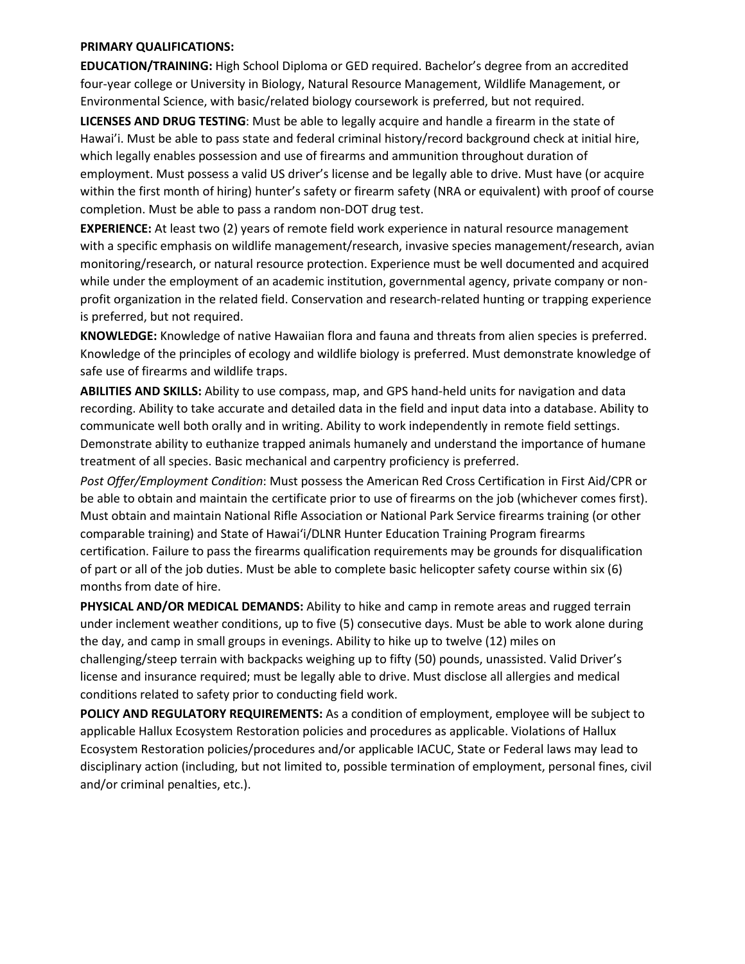#### **PRIMARY QUALIFICATIONS:**

**EDUCATION/TRAINING:** High School Diploma or GED required. Bachelor's degree from an accredited four-year college or University in Biology, Natural Resource Management, Wildlife Management, or Environmental Science, with basic/related biology coursework is preferred, but not required.

**LICENSES AND DRUG TESTING**: Must be able to legally acquire and handle a firearm in the state of Hawai'i. Must be able to pass state and federal criminal history/record background check at initial hire, which legally enables possession and use of firearms and ammunition throughout duration of employment. Must possess a valid US driver's license and be legally able to drive. Must have (or acquire within the first month of hiring) hunter's safety or firearm safety (NRA or equivalent) with proof of course completion. Must be able to pass a random non-DOT drug test.

**EXPERIENCE:** At least two (2) years of remote field work experience in natural resource management with a specific emphasis on wildlife management/research, invasive species management/research, avian monitoring/research, or natural resource protection. Experience must be well documented and acquired while under the employment of an academic institution, governmental agency, private company or nonprofit organization in the related field. Conservation and research-related hunting or trapping experience is preferred, but not required.

**KNOWLEDGE:** Knowledge of native Hawaiian flora and fauna and threats from alien species is preferred. Knowledge of the principles of ecology and wildlife biology is preferred. Must demonstrate knowledge of safe use of firearms and wildlife traps.

**ABILITIES AND SKILLS:** Ability to use compass, map, and GPS hand-held units for navigation and data recording. Ability to take accurate and detailed data in the field and input data into a database. Ability to communicate well both orally and in writing. Ability to work independently in remote field settings. Demonstrate ability to euthanize trapped animals humanely and understand the importance of humane treatment of all species. Basic mechanical and carpentry proficiency is preferred.

*Post Offer/Employment Condition*: Must possess the American Red Cross Certification in First Aid/CPR or be able to obtain and maintain the certificate prior to use of firearms on the job (whichever comes first). Must obtain and maintain National Rifle Association or National Park Service firearms training (or other comparable training) and State of Hawai'i/DLNR Hunter Education Training Program firearms certification. Failure to pass the firearms qualification requirements may be grounds for disqualification of part or all of the job duties. Must be able to complete basic helicopter safety course within six (6) months from date of hire.

**PHYSICAL AND/OR MEDICAL DEMANDS:** Ability to hike and camp in remote areas and rugged terrain under inclement weather conditions, up to five (5) consecutive days. Must be able to work alone during the day, and camp in small groups in evenings. Ability to hike up to twelve (12) miles on challenging/steep terrain with backpacks weighing up to fifty (50) pounds, unassisted. Valid Driver's license and insurance required; must be legally able to drive. Must disclose all allergies and medical conditions related to safety prior to conducting field work.

**POLICY AND REGULATORY REQUIREMENTS:** As a condition of employment, employee will be subject to applicable Hallux Ecosystem Restoration policies and procedures as applicable. Violations of Hallux Ecosystem Restoration policies/procedures and/or applicable IACUC, State or Federal laws may lead to disciplinary action (including, but not limited to, possible termination of employment, personal fines, civil and/or criminal penalties, etc.).